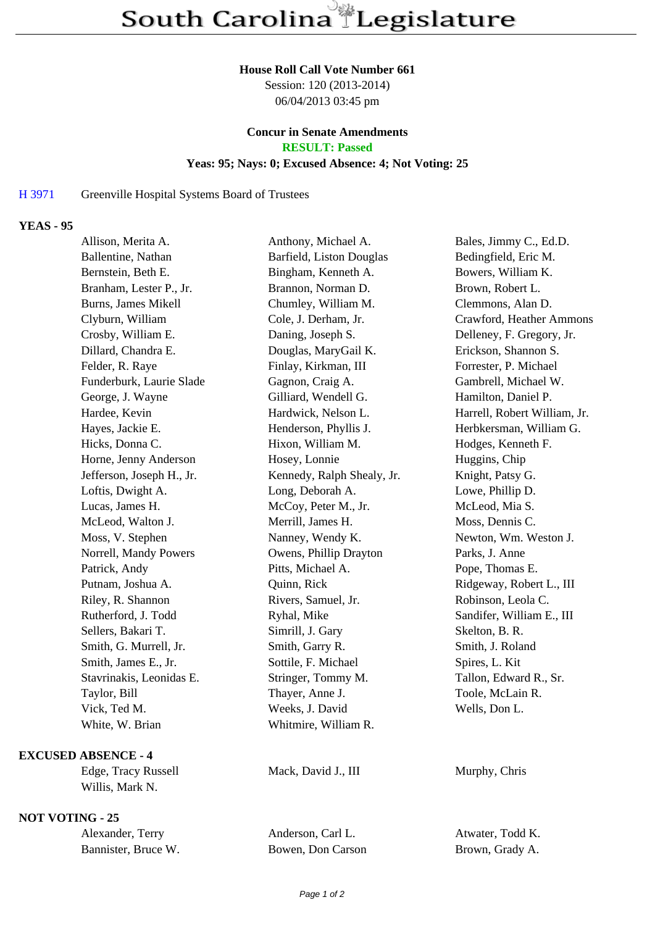#### **House Roll Call Vote Number 661**

Session: 120 (2013-2014) 06/04/2013 03:45 pm

# **Concur in Senate Amendments**

**RESULT: Passed**

#### **Yeas: 95; Nays: 0; Excused Absence: 4; Not Voting: 25**

### H 3971 Greenville Hospital Systems Board of Trustees

## **YEAS - 95**

| Allison, Merita A.     |                           | Anthony, Michael A.        | Bales, Jimmy C., Ed.D.       |
|------------------------|---------------------------|----------------------------|------------------------------|
| Ballentine, Nathan     |                           | Barfield, Liston Douglas   | Bedingfield, Eric M.         |
| Bernstein, Beth E.     |                           | Bingham, Kenneth A.        | Bowers, William K.           |
|                        | Branham, Lester P., Jr.   | Brannon, Norman D.         | Brown, Robert L.             |
| Burns, James Mikell    |                           | Chumley, William M.        | Clemmons, Alan D.            |
| Clyburn, William       |                           | Cole, J. Derham, Jr.       | Crawford, Heather Ammons     |
| Crosby, William E.     |                           | Daning, Joseph S.          | Delleney, F. Gregory, Jr.    |
| Dillard, Chandra E.    |                           | Douglas, MaryGail K.       | Erickson, Shannon S.         |
| Felder, R. Raye        |                           | Finlay, Kirkman, III       | Forrester, P. Michael        |
|                        | Funderburk, Laurie Slade  | Gagnon, Craig A.           | Gambrell, Michael W.         |
| George, J. Wayne       |                           | Gilliard, Wendell G.       | Hamilton, Daniel P.          |
| Hardee, Kevin          |                           | Hardwick, Nelson L.        | Harrell, Robert William, Jr. |
| Hayes, Jackie E.       |                           | Henderson, Phyllis J.      | Herbkersman, William G.      |
| Hicks, Donna C.        |                           | Hixon, William M.          | Hodges, Kenneth F.           |
|                        | Horne, Jenny Anderson     | Hosey, Lonnie              | Huggins, Chip                |
|                        | Jefferson, Joseph H., Jr. | Kennedy, Ralph Shealy, Jr. | Knight, Patsy G.             |
| Loftis, Dwight A.      |                           | Long, Deborah A.           | Lowe, Phillip D.             |
| Lucas, James H.        |                           | McCoy, Peter M., Jr.       | McLeod, Mia S.               |
| McLeod, Walton J.      |                           | Merrill, James H.          | Moss, Dennis C.              |
| Moss, V. Stephen       |                           | Nanney, Wendy K.           | Newton, Wm. Weston J.        |
|                        | Norrell, Mandy Powers     | Owens, Phillip Drayton     | Parks, J. Anne               |
| Patrick, Andy          |                           | Pitts, Michael A.          | Pope, Thomas E.              |
| Putnam, Joshua A.      |                           | Quinn, Rick                | Ridgeway, Robert L., III     |
| Riley, R. Shannon      |                           | Rivers, Samuel, Jr.        | Robinson, Leola C.           |
| Rutherford, J. Todd    |                           | Ryhal, Mike                | Sandifer, William E., III    |
| Sellers, Bakari T.     |                           | Simrill, J. Gary           | Skelton, B. R.               |
| Smith, G. Murrell, Jr. |                           | Smith, Garry R.            | Smith, J. Roland             |
| Smith, James E., Jr.   |                           | Sottile, F. Michael        | Spires, L. Kit               |
|                        | Stavrinakis, Leonidas E.  | Stringer, Tommy M.         | Tallon, Edward R., Sr.       |
| Taylor, Bill           |                           | Thayer, Anne J.            | Toole, McLain R.             |
| Vick, Ted M.           |                           | Weeks, J. David            | Wells, Don L.                |
| White, W. Brian        |                           | Whitmire, William R.       |                              |
|                        |                           |                            |                              |

#### **EXCUSED ABSENCE - 4**

Edge, Tracy Russell Mack, David J., III Murphy, Chris Willis, Mark N.

## **NOT VOTING - 25**

| Alexander, Terry    | Anderson, Carl L. | Atwater, Todd K. |
|---------------------|-------------------|------------------|
| Bannister, Bruce W. | Bowen, Don Carson | Brown, Grady A.  |